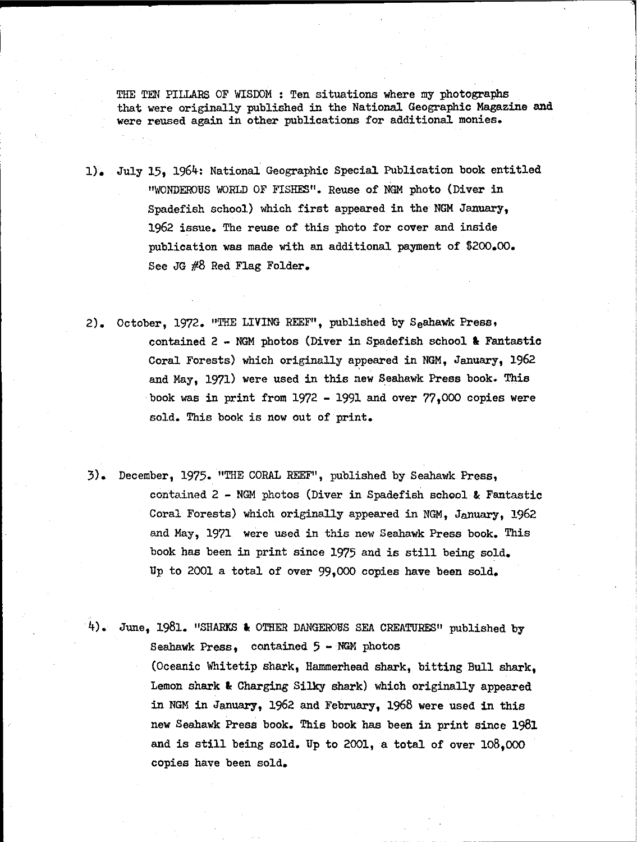THE TEN PILLARS OF WISDOM : Ten situations where my photographs that were originally published in the National Geographic Magazine and were reused again in other publications for additional monies.

- 1). July 15, 1964: National Geographic Special Publication book entitled "WONDEROUS WORLD OF FISHES". Reuse of NGM photo (Diver in Spadefish school) which first appeared in the NGM January, 1962 issue. The reuse of this photo for cover and inside publication was made with an additional payment of \$200.00. See JG #8 Red Flag Folder.
- 2). October, 1972. "THE LIVING REEF", published by Seahawk Press, contained  $2 - NGM$  photos (Diver in Spadefish school & Fantastic Coral Forests) which originally appeared in NGM, January, 1962 and May, 1971) were used in this new Seshawk Press book. This book was in print from 1972 - 1991 and over  $77,000$  copies were sold. This book is now out of print.
- 3). December, 1975. "THE CORAL REEF", published by Seshawk Press, contained  $2$  - NGM photos (Diver in Spadefish school & Fantastic Coral Forests) which originally appeared in NGM, January, 1962 and May, 1971 were used in this new Seshawk Press book. This book has been in print since 1975 and is still being sold. Up to 2001 a total of over 99,000 copies have been sold.

4). June, 1981. "SHARKS & OTHER DANGEROUS SEA CREATURES" published by Seahawk Press, contained  $5 - NGM$  photos (Oceanic Whitetip shark, Hammerhead shark, bitting Bull shark, Lemon shark & Charging Silky shark) which originally appeared in NGM in January, 1962 and February, 1968 were used in this new Seshawk Press book. This book has been in print since 1981 and is still being sold. Up to 2001, a total of over 108,000 copies have been sold.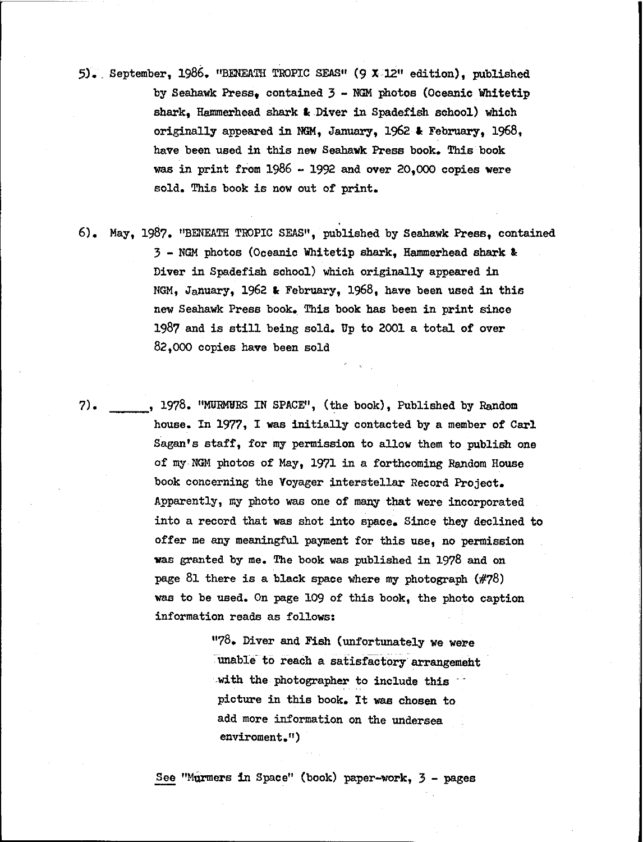- 5J. \_September, 1986. "BENEATH TROPIC SEAS" (9 X 12" edition), published by Seahawk Press, contained 3 - NGM photos (Oceanic Whitetip shark, Hammerhead shark & Diver in Spadefish school) which originally appeared in NGM, January, 1962 & February, 1968, have been used in this new Seahawk Press book. This book was in print from  $1986 - 1992$  and over 20,000 copies were sold. This book is now out of print.
- 6). May, 1987. "BENEATH TROPIC SEAS", published by Seahawk Press, contained 3 - NOM photos (Oceanic Whitetip shark, Hammerhead shark &: Diver in Spadefish sohool) whioh originally appeared in NGM, January, 1962 & February, 1968, have been used in this new Seahawk Press book. This book has been in print since 1987 and is still being sold. Up to 2001 <sup>a</sup> total of over 82.000 copies have been sold
- 7) , 1978. "MURMURS IN SPACE", (the book), Published by Random house. In 1977, I was initially contacted by a member of Carl Sagan's staff, for my permission to allow them to publish one of my NGM photos of May, 1971 in a forthcoming Random House book concerning the Voyager interstellar Record Project. Apparently, my photo was one of many that were incorporated into a record that was shot into space. Since they declined to offer me any meaningful payment for this use, no permission was granted by me. The book was published in 1978 and on page 81 there is a black space where my photograph (#78) was to be used. On page 109 of this book, the photo caption information reads as follows:

"78. Diver and Fish (unfortunately we were 'Ilnable- to reach a satisfactory arrangemeht with the photographer to include this picture in this book. It was chosen to add more information on the undersea enviroment.")

See "MUrmers in Space" (book) paper-work, 3 - pages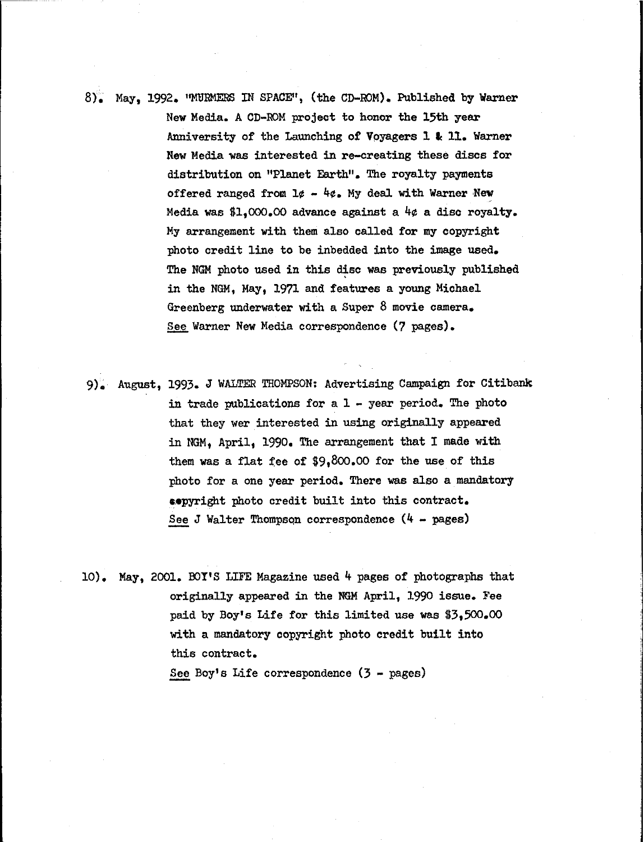8)~ May, 1992. "MlJRMERS IN SFACE", (the CD-roM). Published by Warner New Media. A CD-ROM project to honor the 15th year Anniversity of the Launching of Vpyagers 1 **Ie 11.** Warner New Media was interested in re-creating these discs for distribution on "Planet Earth". The royalty payments offered ranged from  $1\phi - 4\phi$ . My deal with Warner New Media was \$1,000.00 advance against a 4¢ a disc royalty. My arrangement with them also called for my copyright photo credit line to be inbedded into the image used. The NGM photo used in this disc was previously published in the NGM, May, 1971 and features a young Michael Greenberg underwater with a Super 8 movie camera. See Warner New Media correspondence (7 pages).

9)~ August, 1993. J WALTER THOMPSON: Advertising Campaign for Citibank in trade publications for a  $1 -$  year period. The photo that they wer interested in using originally appeared in NGM, April, 1990. The arrangement that I made with them was a flat fee of \$9,800.00 for the use of this photo for a one year period. There was also a mandatory **••pyright** photo credit built into this contract. See J Walter Thompson correspondence  $(4 - \text{pages})$ 

10). May, 2001. BOY'S LIFE Magazine used  $4$  pages of photographs that originally appeared in the NGM April, 1990 issue. Fee paid by Boy's Life for this limited use was \$3,500.00 with a mandatory copyright photo credit built into this contract.

See Boy's Life correspondence  $(3 - \text{pages})$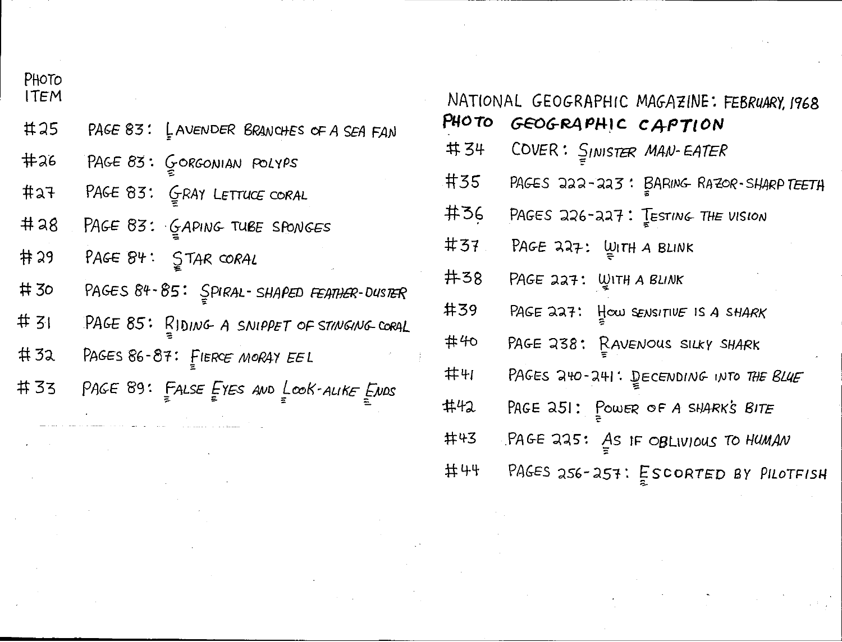|  | <b>PHOIO</b> |
|--|--------------|
|  | ITEM         |

- $#25$ PAGE 83: LAVENDER BRANCHES OF A SEA FAN
- $#26$ PAGE 83: GORGONIAN POLYPS
- $#27$ PAGE 83: GRAY LETTUCE CORAL
- $#28$ PAGE 83: GAPING TUBE SPONGES
- 井 29 PAGE 84: STAR CORAL
- #30 PAGES 84-85: SPIRAL-SHAPED FEATHER-DUSTER
- # 31 PAGE 85: RIDING A SNIPPET OF STINGING CORAL
- PAGES 86-87: FIERCE MORAY EEL  $#32$
- #33 PAGE 89: FALSE EYES AND LOOK-ALIKE ENDS

| NATIONAL GEOGRAPHIC MAGAZINE: FEBRUARY, 1968 |                                         |  |
|----------------------------------------------|-----------------------------------------|--|
| PHOTO                                        | GEOGRAPHIC CAPTION                      |  |
| 井 34                                         | COVER: SINISTER MAN-EATER               |  |
| <b>#35</b>                                   | PAGES 222-223: BARING RAZOR-SHARP TEETH |  |
| 井36                                          | PAGES 226-227: $I$ ESTING THE VISION    |  |
| #37                                          | PAGE 227: $\mu$ ITH A BLINK             |  |
| 井38                                          | РАGE 227: ШІТНА ВІЛІК                   |  |
| 井39                                          | PAGE 227: How SENSITIVE IS A SHARK      |  |
| #40                                          | PAGE 238: RAVENOUS SILKY SHARK          |  |
| 井り                                           | PAGES 240-241: DECENDING INTO THE BLUE  |  |
| #42                                          | PAGE 251: POWER OF A SHARK'S BITE       |  |
| 井43                                          | $PAGE$ 225: As IF OBLIVIOUS TO HUMAN    |  |
| 井44                                          | PAGES 256-257: ESCORTED BY PILOTFISH    |  |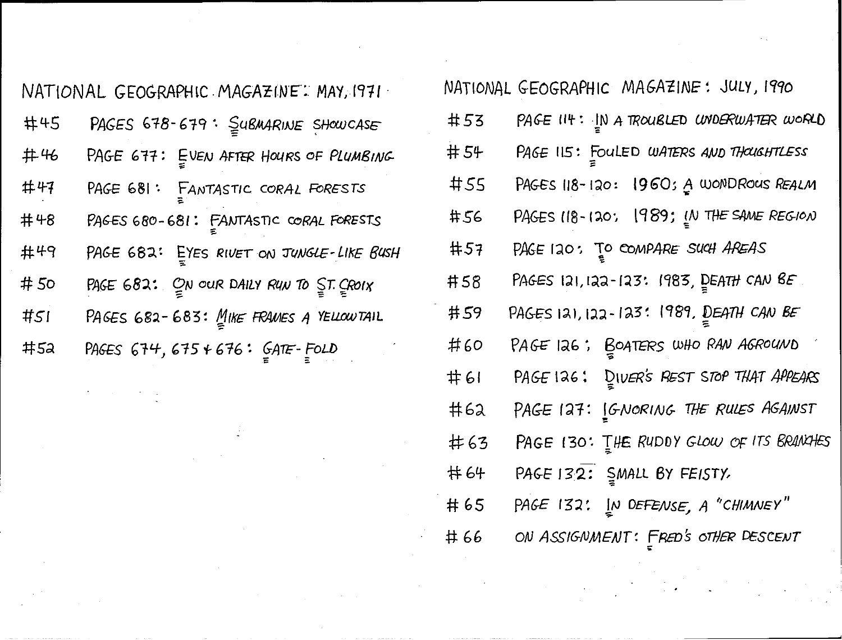|     | NATIONAL GEOGRAPHIC MAGAZINE: MAY, 1971                |            | NATIONAL GEOGR                                         |
|-----|--------------------------------------------------------|------------|--------------------------------------------------------|
| #45 | PAGES 678-679: SUBMARINE SHOWCASE                      | #53        | PAGE II                                                |
| #46 | PAGE 677: EVEN AFTER HOURS OF PLUMBING                 | 井 54       | PAGE IL                                                |
| #47 | PAGE 681: FANTASTIC CORAL FORESTS                      | #55        | PAGES 1                                                |
| #48 | PAGES 680-681: FANTASTIC CORAL FORESTS                 | #56        | PAGES I                                                |
| 井49 | PAGE 682: EYES RIVET ON JUNGLE-LIKE BUSH               | #57        | PAGE 12                                                |
| #50 | PAGE $682$ : $Q_N$ our DAILY RUN TO $\leq$ T. $Q$ ROIX | 井58        | PAGES I                                                |
| #51 | PAGES 682-683: MIKE FRAMES A YELLOWTAIL                | 井59        | PAGES I                                                |
| #52 | PAGES 674, 675 + 676: GATE-FOLD                        | #60        | PAGE 15                                                |
|     |                                                        | — <i>1</i> | $\mathbf{D} \wedge \mathbf{C} = \mathbf{I} \mathbf{C}$ |

 $\label{eq:2.1} \begin{split} \mathcal{L}_{\text{max}}(\mathcal{L}_{\text{max}}) = \mathcal{L}_{\text{max}}(\mathcal{L}_{\text{max}}) \mathcal{L}_{\text{max}}(\mathcal{L}_{\text{max}}) \mathcal{L}_{\text{max}}(\mathcal{L}_{\text{max}}) \mathcal{L}_{\text{max}}(\mathcal{L}_{\text{max}}) \mathcal{L}_{\text{max}}(\mathcal{L}_{\text{max}}) \mathcal{L}_{\text{max}}(\mathcal{L}_{\text{max}}) \mathcal{L}_{\text{max}}(\mathcal{L}_{\text{max}}) \mathcal{L}_{\text{max}}(\mathcal{L}_{\text{max$ 

| NATIONAL GEOGRAPHIC MAGAZINE: MAY, 1971 |                                            |            | NATIONAL GEOGRAPHIC MAGAZINE: JULY, 1990 |
|-----------------------------------------|--------------------------------------------|------------|------------------------------------------|
| #45                                     | PAGES 678-679: SUBMARINE SHOWCASE          | #53        | PAGE II4: IN A TROUBLED UNDERWATER WORLD |
| #46                                     | PAGE 677: EVEN AFTER HOURS OF PLUMBING     | #54        | PAGE 115: FOULED WATERS AND THOUGHTLESS  |
| #47                                     | PAGE 681: FANTASTIC CORAL FORESTS          | #55        | PAGES 118-120: 1960; A WONDROUS REALM    |
| #48                                     | PAGES 680-681: FANTASTIC CORAL FORESTS     | #56        | PAGES 118-120; 1989; IN THE SAME REGION  |
| #49                                     | PAGE 682: EYES RIVET ON JUNGLE-LIKE BUSH   | #57        | PAGE 120: TO COMPARE SUCH AREAS          |
| #50                                     | PAGE 682: $Q_N$ our DAILY RUN TO ST. CROIX | 井58        | PAGES 121, 122-123: 1983, DEATH CAN BE   |
| #51                                     | PAGES 682-683: MIKE FRAMES A YELLOW TAIL   | #59        | PAGES 121, 122-123: 1989, DEATH CAN BE   |
| 井52                                     | PAGES $674, 675 + 676: 6775 - 5020$        | #60        | PAGE 126; BOATERS WHO RAN AGROUND        |
|                                         |                                            | <b>#61</b> | PAGE 126: DIVER'S REST STOP THAT APPEARS |
|                                         |                                            | #62        | PAGE 127: CONORING THE RULES AGAINST     |
|                                         |                                            | $\#63$     | PAGE 130: THE RUDDY GLOW OF ITS BRANCHES |
|                                         |                                            | 井 64       | PAGE 132: SMALL BY FEISTY.               |
|                                         |                                            | #65        | PAGE 132: IN DEFENSE, A "CHIMNEY"        |
|                                         |                                            | #66        | ON ASSIGNMENT: FRED'S OTHER DESCENT      |
|                                         |                                            |            |                                          |
|                                         |                                            |            |                                          |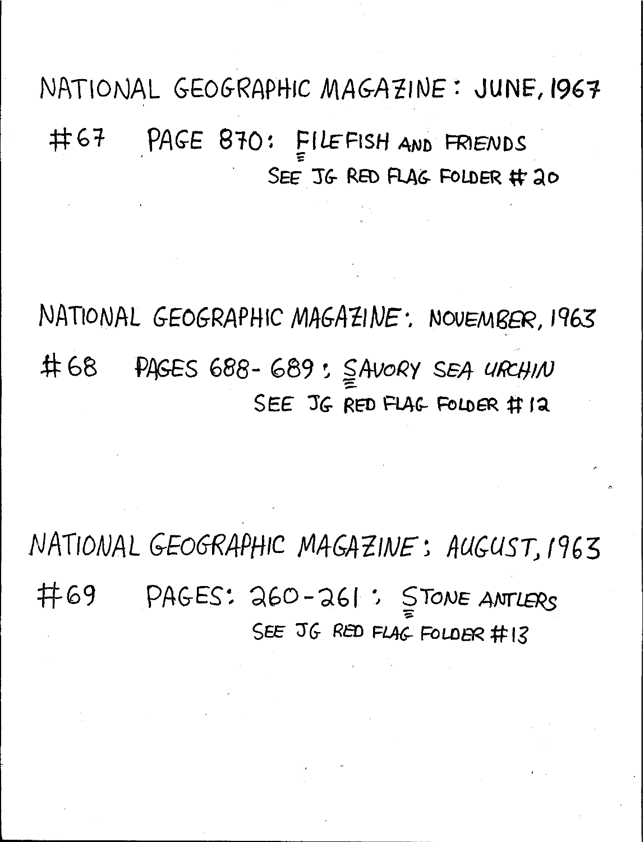NATIONAL GEOGRAPHIC MAGAZINE: JUNE, 1967 PAGE 870: FILEFISH AND FRIENDS 井67 SEE JG RED FLAG FOLDER # 20

NATIONAL GEOGRAPHIC MAGAZINE: NOVEMBER, 1963 井68 PAGES 688-689: SAVORY SEA URCHIN SEE JG RED FLAG FOLDER # 12

NATIONAL GEOGRAPHIC MAGAZINE: AUGUST, 1963 井69 PAGES: 260-261: STONE ANTLERS SEE JG RED FLAG FOLDER #13